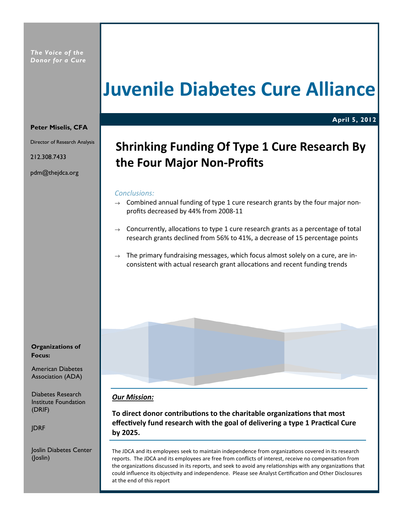# Juvenile Diabetes Cure Alliance

# Peter Miselis, CFA

Director of Research Analysis

212.308.7433

pdm@thejdca.org

# Shrinking Funding Of Type 1 Cure Research By the Four Major Non-Profits

April 5, 2012

# Conclusions:

- $\rightarrow$  Combined annual funding of type 1 cure research grants by the four major nonprofits decreased by 44% from 2008-11
- $\rightarrow$  Concurrently, allocations to type 1 cure research grants as a percentage of total research grants declined from 56% to 41%, a decrease of 15 percentage points
- $\rightarrow$  The primary fundraising messages, which focus almost solely on a cure, are inconsistent with actual research grant allocations and recent funding trends



Institute Foundation (DRIF)

JDRF

Joslin Diabetes Center (Joslin)

# **Our Mission:**

To direct donor contributions to the charitable organizations that most effectively fund research with the goal of delivering a type 1 Practical Cure by 2025.

The JDCA and its employees seek to maintain independence from organizations covered in its research reports. The JDCA and its employees are free from conflicts of interest, receive no compensation from the organizations discussed in its reports, and seek to avoid any relationships with any organizations that could influence its objectivity and independence. Please see Analyst Certification and Other Disclosures at the end of this report

Organizations of

American Diabetes Association (ADA)

Diabetes Research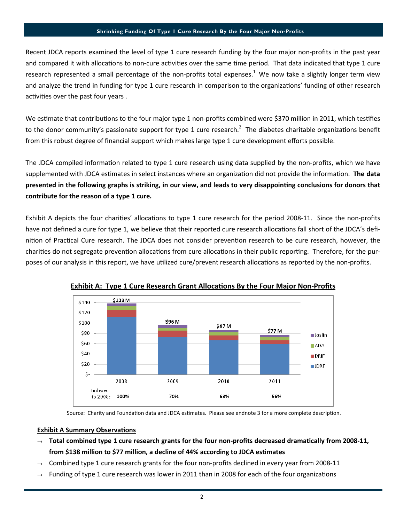### Shrinking Funding Of Type 1 Cure Research By the Four Major Non-Profits

Recent JDCA reports examined the level of type 1 cure research funding by the four major non-profits in the past year and compared it with allocations to non-cure activities over the same time period. That data indicated that type 1 cure research represented a small percentage of the non-profits total expenses.<sup>1</sup> We now take a slightly longer term view and analyze the trend in funding for type 1 cure research in comparison to the organizations' funding of other research activities over the past four years.

We estimate that contributions to the four major type 1 non-profits combined were \$370 million in 2011, which testifies to the donor community's passionate support for type 1 cure research.<sup>2</sup> The diabetes charitable organizations benefit from this robust degree of financial support which makes large type 1 cure development efforts possible.

The JDCA compiled information related to type 1 cure research using data supplied by the non-profits, which we have supplemented with JDCA estimates in select instances where an organization did not provide the information. The data presented in the following graphs is striking, in our view, and leads to very disappointing conclusions for donors that contribute for the reason of a type 1 cure.

Exhibit A depicts the four charities' allocations to type 1 cure research for the period 2008-11. Since the non-profits have not defined a cure for type 1, we believe that their reported cure research allocations fall short of the JDCA's definition of Practical Cure research. The JDCA does not consider prevention research to be cure research, however, the charities do not segregate prevention allocations from cure allocations in their public reporting. Therefore, for the purposes of our analysis in this report, we have utilized cure/prevent research allocations as reported by the non-profits.



Exhibit A: Type 1 Cure Research Grant Allocations By the Four Major Non-Profits

Source: Charity and Foundation data and JDCA estimates. Please see endnote 3 for a more complete description.

# **Exhibit A Summary Observations**

- $\rightarrow$  Total combined type 1 cure research grants for the four non-profits decreased dramatically from 2008-11, from \$138 million to \$77 million, a decline of 44% according to JDCA estimates
- Combined type 1 cure research grants for the four non-profits declined in every year from 2008-11
- Funding of type 1 cure research was lower in 2011 than in 2008 for each of the four organizations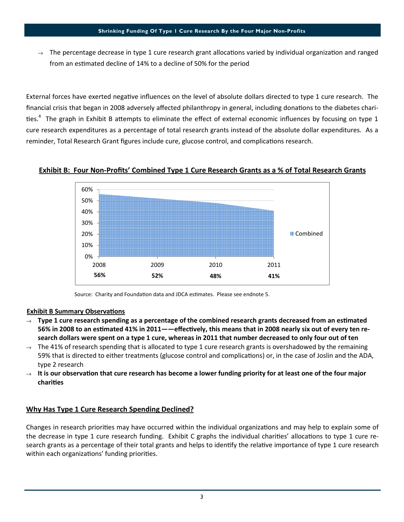# Shrinking Funding Of Type 1 Cure Research By the Four Major Non-Profits

The percentage decrease in type 1 cure research grant allocations varied by individual organization and ranged from an estimated decline of 14% to a decline of 50% for the period

External forces have exerted negative influences on the level of absolute dollars directed to type 1 cure research. The financial crisis that began in 2008 adversely affected philanthropy in general, including donations to the diabetes charities.<sup>4</sup> The graph in Exhibit B attempts to eliminate the effect of external economic influences by focusing on type 1 cure research expenditures as a percentage of total research grants instead of the absolute dollar expenditures. As a reminder, Total Research Grant figures include cure, glucose control, and complications research.





Source: Charity and Foundation data and JDCA estimates. Please see endnote 5.

# **Exhibit B Summary Observations**

- $\rightarrow$  Type 1 cure research spending as a percentage of the combined research grants decreased from an estimated 56% in 2008 to an estimated 41% in 2011——effectively, this means that in 2008 nearly six out of every ten research dollars were spent on a type 1 cure, whereas in 2011 that number decreased to only four out of ten
- $\rightarrow$  The 41% of research spending that is allocated to type 1 cure research grants is overshadowed by the remaining 59% that is directed to either treatments (glucose control and complications) or, in the case of Joslin and the ADA, type 2 research
- $\rightarrow$  It is our observation that cure research has become a lower funding priority for at least one of the four major charities

# Why Has Type 1 Cure Research Spending Declined?

Changes in research priorities may have occurred within the individual organizations and may help to explain some of the decrease in type 1 cure research funding. Exhibit C graphs the individual charities' allocations to type 1 cure research grants as a percentage of their total grants and helps to identify the relative importance of type 1 cure research within each organizations' funding priorities.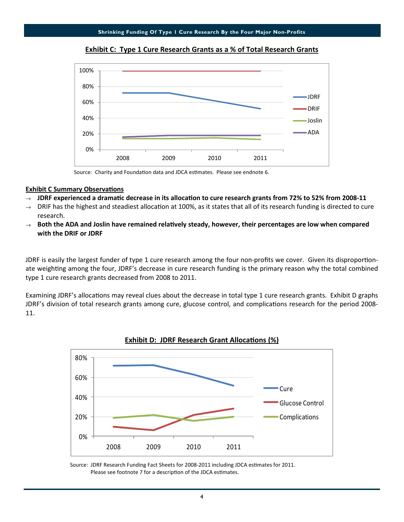

Exhibit C: Type 1 Cure Research Grants as a % of Total Research Grants

Source: Charity and Foundation data and JDCA estimates. Please see endnote 6.

# **Exhibit C Summary Observations**

- $\rightarrow$  JDRF experienced a dramatic decrease in its allocation to cure research grants from 72% to 52% from 2008-11
- $\rightarrow$  DRIF has the highest and steadiest allocation at 100%, as it states that all of its research funding is directed to cure research.
- $\rightarrow$  Both the ADA and Joslin have remained relatively steady, however, their percentages are low when compared with the DRIF or JDRF

JDRF is easily the largest funder of type 1 cure research among the four non-profits we cover. Given its disproportionate weighting among the four, JDRF's decrease in cure research funding is the primary reason why the total combined type 1 cure research grants decreased from 2008 to 2011.

Examining JDRF's allocations may reveal clues about the decrease in total type 1 cure research grants. Exhibit D graphs JDRF's division of total research grants among cure, glucose control, and complications research for the period 2008-11.





Source: JDRF Research Funding Fact Sheets for 2008-2011 including JDCA estimates for 2011. Please see footnote 7 for a description of the JDCA estimates.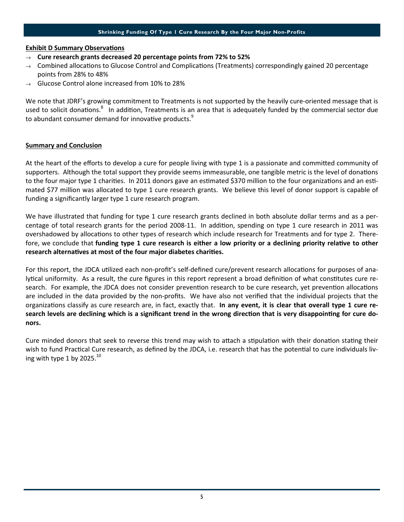# Shrinking Funding Of Type 1 Cure Research By the Four Major Non-Profits

# **Exhibit D Summary Observations**

- $\rightarrow$  Cure research grants decreased 20 percentage points from 72% to 52%
- $\rightarrow$  Combined allocations to Glucose Control and Complications (Treatments) correspondingly gained 20 percentage points from 28% to 48%
- $\rightarrow$  Glucose Control alone increased from 10% to 28%

We note that JDRF's growing commitment to Treatments is not supported by the heavily cure-oriented message that is used to solicit donations.<sup>8</sup> In addition, Treatments is an area that is adequately funded by the commercial sector due to abundant consumer demand for innovative products.<sup>9</sup>

# Summary and Conclusion

At the heart of the efforts to develop a cure for people living with type 1 is a passionate and committed community of supporters. Although the total support they provide seems immeasurable, one tangible metric is the level of donations to the four major type 1 charities. In 2011 donors gave an estimated \$370 million to the four organizations and an estimated \$77 million was allocated to type 1 cure research grants. We believe this level of donor support is capable of funding a significantly larger type 1 cure research program.

We have illustrated that funding for type 1 cure research grants declined in both absolute dollar terms and as a percentage of total research grants for the period 2008-11. In addition, spending on type 1 cure research in 2011 was overshadowed by allocations to other types of research which include research for Treatments and for type 2. Therefore, we conclude that funding type 1 cure research is either a low priority or a declining priority relative to other research alternatives at most of the four major diabetes charities.

For this report, the JDCA utilized each non-profit's self-defined cure/prevent research allocations for purposes of analytical uniformity. As a result, the cure figures in this report represent a broad definition of what constitutes cure research. For example, the JDCA does not consider prevention research to be cure research, yet prevention allocations are included in the data provided by the non-profits. We have also not verified that the individual projects that the organizations classify as cure research are, in fact, exactly that. In any event, it is clear that overall type 1 cure research levels are declining which is a significant trend in the wrong direction that is very disappointing for cure donors.

Cure minded donors that seek to reverse this trend may wish to attach a stipulation with their donation stating their wish to fund Practical Cure research, as defined by the JDCA, i.e. research that has the potential to cure individuals living with type 1 by 2025. $^{10}$